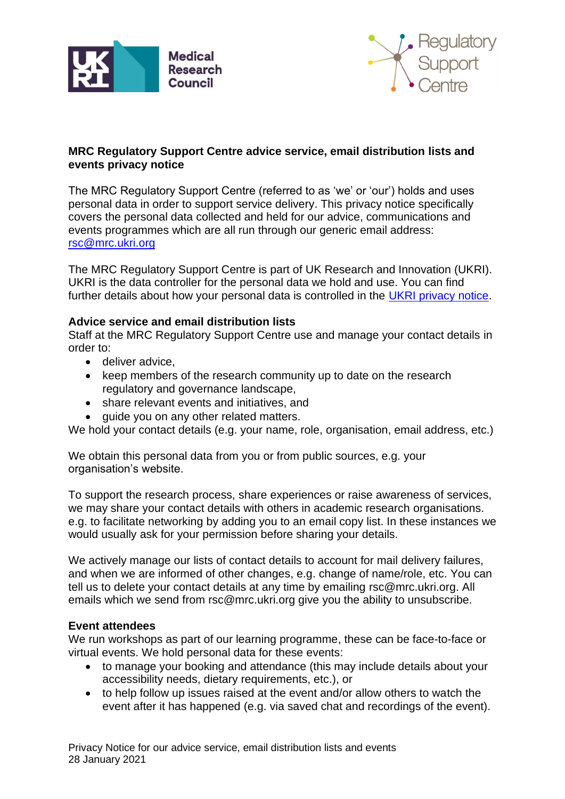



## **MRC Regulatory Support Centre advice service, email distribution lists and events privacy notice**

The MRC Regulatory Support Centre (referred to as 'we' or 'our') holds and uses personal data in order to support service delivery. This privacy notice specifically covers the personal data collected and held for our advice, communications and events programmes which are all run through our generic email address: [rsc@mrc.ukri.org](mailto:rsc@mrc.ukri.org)

The MRC Regulatory Support Centre is part of UK Research and Innovation (UKRI). UKRI is the data controller for the personal data we hold and use. You can find further details about how your personal data is controlled in the [UKRI privacy notice.](https://www.ukri.org/about-us/privacy-notice/)

## **Advice service and email distribution lists**

Staff at the MRC Regulatory Support Centre use and manage your contact details in order to:

- deliver advice,
- keep members of the research community up to date on the research regulatory and governance landscape,
- share relevant events and initiatives, and
- guide you on any other related matters.

We hold your contact details (e.g. your name, role, organisation, email address, etc.)

We obtain this personal data from you or from public sources, e.g. your organisation's website.

To support the research process, share experiences or raise awareness of services, we may share your contact details with others in academic research organisations. e.g. to facilitate networking by adding you to an email copy list. In these instances we would usually ask for your permission before sharing your details.

We actively manage our lists of contact details to account for mail delivery failures, and when we are informed of other changes, e.g. change of name/role, etc. You can tell us to delete your contact details at any time by emailing rsc@mrc.ukri.org. All emails which we send from rsc@mrc.ukri.org give you the ability to unsubscribe.

## **Event attendees**

We run workshops as part of our learning programme, these can be face-to-face or virtual events. We hold personal data for these events:

- to manage your booking and attendance (this may include details about your accessibility needs, dietary requirements, etc.), or
- to help follow up issues raised at the event and/or allow others to watch the event after it has happened (e.g. via saved chat and recordings of the event).